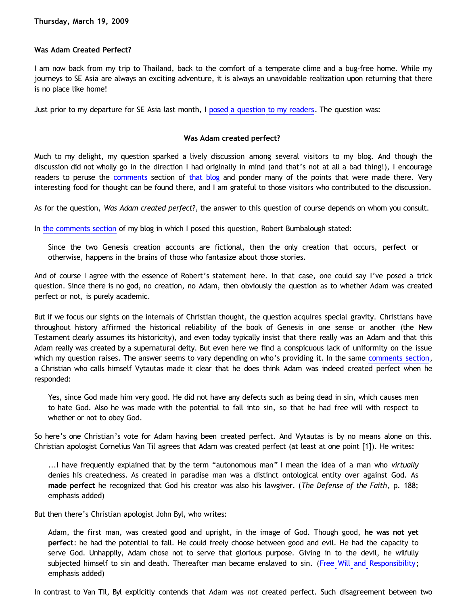## **Was Adam Created Perfect?**

I am now back from my trip to Thailand, back to the comfort of a temperate clime and a bug-free home. While my journeys to SE Asia are always an exciting adventure, it is always an unavoidable realization upon returning that there is no place like home!

Just prior to my departure for SE Asia last month, I [posed a question to my readers.](http://bahnsenburner.blogspot.com/2009/02/off-to-asia.html) The question was:

## **Was Adam created perfect?**

Much to my delight, my question sparked a lively discussion among several visitors to my blog. And though the discussion did not wholly go in the direction I had originally in mind (and that's not at all a bad thing!), I encourage readers to peruse the [comments](https://www.blogger.com/comment.g?blogID=11714522&postID=4877943639506520840&isPopup=true) section of [that blog](http://bahnsenburner.blogspot.com/2009/02/off-to-asia.html) and ponder many of the points that were made there. Very interesting food for thought can be found there, and I am grateful to those visitors who contributed to the discussion.

As for the question, *Was Adam created perfect?*, the answer to this question of course depends on whom you consult.

In [the comments section](https://www.blogger.com/comment.g?blogID=11714522&postID=4877943639506520840&isPopup=true) of my blog in which I posed this question, Robert Bumbalough stated:

Since the two Genesis creation accounts are fictional, then the only creation that occurs, perfect or otherwise, happens in the brains of those who fantasize about those stories.

And of course I agree with the essence of Robert's statement here. In that case, one could say I've posed a trick question. Since there is no god, no creation, no Adam, then obviously the question as to whether Adam was created perfect or not, is purely academic.

But if we focus our sights on the internals of Christian thought, the question acquires special gravity. Christians have throughout history affirmed the historical reliability of the book of Genesis in one sense or another (the New Testament clearly assumes its historicity), and even today typically insist that there really was an Adam and that this Adam really was created by a supernatural deity. But even here we find a conspicuous lack of uniformity on the issue which my question raises. The answer seems to vary depending on who's providing it. In the same [comments section](https://www.blogger.com/comment.g?blogID=11714522&postID=4877943639506520840&isPopup=true), a Christian who calls himself Vytautas made it clear that he does think Adam was indeed created perfect when he responded:

Yes, since God made him very good. He did not have any defects such as being dead in sin, which causes men to hate God. Also he was made with the potential to fall into sin, so that he had free will with respect to whether or not to obey God.

So here's one Christian's vote for Adam having been created perfect. And Vytautas is by no means alone on this. Christian apologist Cornelius Van Til agrees that Adam was created perfect (at least at one point [1]). He writes:

...I have frequently explained that by the term "autonomous man" I mean the idea of a man who *virtually* denies his createdness. As created in paradise man was a distinct ontological entity over against God. As **made perfect** he recognized that God his creator was also his lawgiver. (*The Defense of the Faith*, p. 188; emphasis added)

But then there's Christian apologist John Byl, who writes:

Adam, the first man, was created good and upright, in the image of God. Though good, **he was not yet perfect**: he had the potential to fall. He could freely choose between good and evil. He had the capacity to serve God. Unhappily, Adam chose not to serve that glorious purpose. Giving in to the devil, he wilfully subjected himself to sin and death. Thereafter man became enslaved to sin. [\(Free Will and Responsibility](http://www.the-highway.com/freewill_Byl.html); emphasis added)

In contrast to Van Til, Byl explicitly contends that Adam was *not* created perfect. Such disagreement between two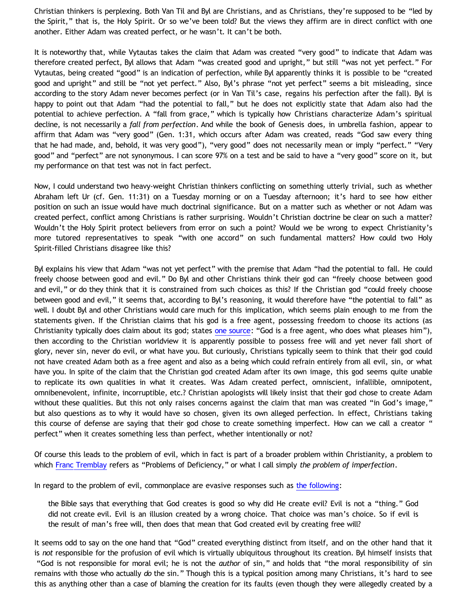Christian thinkers is perplexing. Both Van Til and Byl are Christians, and as Christians, they're supposed to be "led by the Spirit," that is, the Holy Spirit. Or so we've been told? But the views they affirm are in direct conflict with one another. Either Adam was created perfect, or he wasn't. It can't be both.

It is noteworthy that, while Vytautas takes the claim that Adam was created "very good" to indicate that Adam was therefore created perfect, Byl allows that Adam "was created good and upright," but still "was not yet perfect." For Vytautas, being created "good" is an indication of perfection, while Byl apparently thinks it is possible to be "created good and upright" and still be "not yet perfect." Also, Byl's phrase "not yet perfect" seems a bit misleading, since according to the story Adam never becomes perfect (or in Van Til's case, regains his perfection after the fall). Byl is happy to point out that Adam "had the potential to fall," but he does not explicitly state that Adam also had the potential to achieve perfection. A "fall from grace," which is typically how Christians characterize Adam's spiritual decline, is not necessarily a *fall from perfection*. And while the book of Genesis does, in umbrella fashion, appear to affirm that Adam was "very good" (Gen. 1:31, which occurs after Adam was created, reads "God saw every thing that he had made, and, behold, it was very good"), "very good" does not necessarily mean or imply "perfect." "Very good" and "perfect" are not synonymous. I can score 97% on a test and be said to have a "very good" score on it, but my performance on that test was not in fact perfect.

Now, I could understand two heavy-weight Christian thinkers conflicting on something utterly trivial, such as whether Abraham left Ur (cf. Gen. 11:31) on a Tuesday morning or on a Tuesday afternoon; it's hard to see how either position on such an issue would have much doctrinal significance. But on a matter such as whether or not Adam was created perfect, conflict among Christians is rather surprising. Wouldn't Christian doctrine be clear on such a matter? Wouldn't the Holy Spirit protect believers from error on such a point? Would we be wrong to expect Christianity's more tutored representatives to speak "with one accord" on such fundamental matters? How could two Holy Spirit-filled Christians disagree like this?

Byl explains his view that Adam "was not yet perfect" with the premise that Adam "had the potential to fall. He could freely choose between good and evil." Do Byl and other Christians think their god can "freely choose between good and evil," or do they think that it is constrained from such choices as this? If the Christian god "could freely choose between good and evil," it seems that, according to Byl's reasoning, it would therefore have "the potential to fall" as well. I doubt Byl and other Christians would care much for this implication, which seems plain enough to me from the statements given. If the Christian claims that his god is a free agent, possessing freedom to choose its actions (as Christianity typically does claim about its god; states [one source](http://www.torahbytes.org/63-45.htm): "God is a free agent, who does what pleases him"), then according to the Christian worldview it is apparently possible to possess free will and yet never fall short of glory, never sin, never do evil, or what have you. But curiously, Christians typically seem to think that their god could not have created Adam both as a free agent and also as a being which could refrain entirely from all evil, sin, or what have you. In spite of the claim that the Christian god created Adam after its own image, this god seems quite unable to replicate its own qualities in what it creates. Was Adam created perfect, omniscient, infallible, omnipotent, omnibenevolent, infinite, incorruptible, etc.? Christian apologists will likely insist that their god chose to create Adam without these qualities. But this not only raises concerns against the claim that man was created "in God's image," but also questions as to why it would have so chosen, given its own alleged perfection. In effect, Christians taking this course of defense are saying that their god chose to create something imperfect. How can we call a creator " perfect" when it creates something less than perfect, whether intentionally or not?

Of course this leads to the problem of evil, which in fact is part of a broader problem within Christianity, a problem to which [Franc Tremblay](http://goosetheantithesis.blogspot.com/2005/04/seven-ways-to-defeat-inherent-property.html) refers as "Problems of Deficiency," or what I call simply *the problem of imperfection*.

In regard to the problem of evil, commonplace are evasive responses such as [the following](http://www.collegenet.com/elect/app/app?service=external/Forum&sp=10730):

the Bible says that everything that God creates is good so why did He create evil? Evil is not a "thing." God did not create evil. Evil is an illusion created by a wrong choice. That choice was man's choice. So if evil is the result of man's free will, then does that mean that God created evil by creating free will?

It seems odd to say on the one hand that "God" created everything distinct from itself, and on the other hand that it is *not* responsible for the profusion of evil which is virtually ubiquitous throughout its creation. Byl himself insists that "God is not responsible for moral evil; he is not the *author* of sin," and holds that "the moral responsibility of sin remains with those who actually *do* the sin." Though this is a typical position among many Christians, it's hard to see this as anything other than a case of blaming the creation for its faults (even though they were allegedly created by a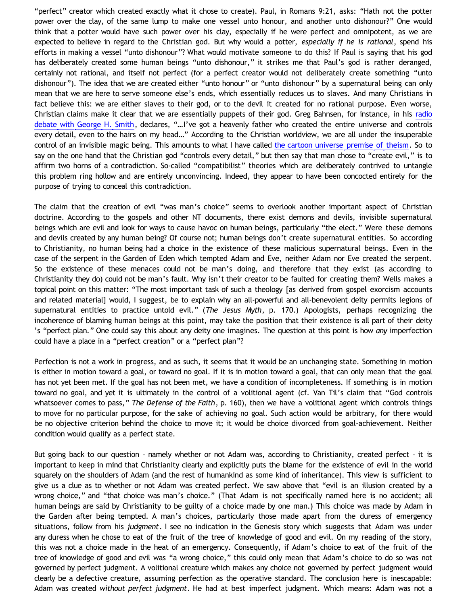"perfect" creator which created exactly what it chose to create). Paul, in Romans 9:21, asks: "Hath not the potter power over the clay, of the same lump to make one vessel unto honour, and another unto dishonour?" One would think that a potter would have such power over his clay, especially if he were perfect and omnipotent, as we are expected to believe in regard to the Christian god. But why would a potter, *especially if he is rational*, spend his efforts in making a vessel "unto dishonour"? What would motivate someone to do this? If Paul is saying that his god has deliberately created some human beings "unto dishonour," it strikes me that Paul's god is rather deranged, certainly not rational, and itself not perfect (for a perfect creator would not deliberately create something "unto dishonour"). The idea that we are created either "unto honour" or "unto dishonour" by a supernatural being can only mean that we are here to serve someone else's ends, which essentially reduces us to slaves. And many Christians in fact believe this: we are either slaves to their god, or to the devil it created for no rational purpose. Even worse, Christian claims make it clear that we are essentially puppets of their god. Greg Bahnsen, for instance, in his [radio](http://www.citv.com/secured/audiostation/ram/mcu/bahnsen.ram) [debate with George H. Smith](http://www.citv.com/secured/audiostation/ram/mcu/bahnsen.ram), declares, "…I've got a heavenly father who created the entire universe and controls every detail, even to the hairs on my head…" According to the Christian worldview, we are all under the insuperable control of an invisible magic being. This amounts to what I have called [the cartoon universe premise of theism.](http://www.geocities.com/katholon/Cartoon_Universe_of_Christianity.htm) So to say on the one hand that the Christian god "controls every detail," but then say that man chose to "create evil," is to affirm two horns of a contradiction. So-called "compatibilist" theories which are deliberately contrived to untangle this problem ring hollow and are entirely unconvincing. Indeed, they appear to have been concocted entirely for the purpose of trying to conceal this contradiction.

The claim that the creation of evil "was man's choice" seems to overlook another important aspect of Christian doctrine. According to the gospels and other NT documents, there exist demons and devils, invisible supernatural beings which are evil and look for ways to cause havoc on human beings, particularly "the elect." Were these demons and devils created by any human being? Of course not; human beings don't create supernatural entities. So according to Christianity, no human being had a choice in the existence of these malicious supernatural beings. Even in the case of the serpent in the Garden of Eden which tempted Adam and Eve, neither Adam nor Eve created the serpent. So the existence of these menaces could not be man's doing, and therefore that they exist (as according to Christianity they do) could not be man's fault. Why isn't their creator to be faulted for creating them? Wells makes a topical point on this matter: "The most important task of such a theology [as derived from gospel exorcism accounts and related material] would, I suggest, be to explain why an all-powerful and all-benevolent deity permits legions of supernatural entities to practice untold evil." (*The Jesus Myth*, p. 170.) Apologists, perhaps recognizing the incoherence of blaming human beings at this point, may take the position that their existence is all part of their deity 's "perfect plan." One could say this about any deity one imagines. The question at this point is how *any* imperfection could have a place in a "perfect creation" or a "perfect plan"?

Perfection is not a work in progress, and as such, it seems that it would be an unchanging state. Something in motion is either in motion toward a goal, or toward no goal. If it is in motion toward a goal, that can only mean that the goal has not yet been met. If the goal has not been met, we have a condition of incompleteness. If something is in motion toward no goal, and yet it is ultimately in the control of a volitional agent (cf. Van Til's claim that "God controls whatsoever comes to pass," *The Defense of the Faith*, p. 160), then we have a volitional agent which controls things to move for no particular purpose, for the sake of achieving no goal. Such action would be arbitrary, for there would be no objective criterion behind the choice to move it; it would be choice divorced from goal-achievement. Neither condition would qualify as a perfect state.

But going back to our question – namely whether or not Adam was, according to Christianity, created perfect – it is important to keep in mind that Christianity clearly and explicitly puts the blame for the existence of evil in the world squarely on the shoulders of Adam (and the rest of humankind as some kind of inheritance). This view is sufficient to give us a clue as to whether or not Adam was created perfect. We saw above that "evil is an illusion created by a wrong choice," and "that choice was man's choice." (That Adam is not specifically named here is no accident; all human beings are said by Christianity to be guilty of a choice made by one man.) This choice was made by Adam in the Garden after being tempted. A man's choices, particularly those made apart from the duress of emergency situations, follow from his *judgment*. I see no indication in the Genesis story which suggests that Adam was under any duress when he chose to eat of the fruit of the tree of knowledge of good and evil. On my reading of the story, this was not a choice made in the heat of an emergency. Consequently, if Adam's choice to eat of the fruit of the tree of knowledge of good and evil was "a wrong choice," this could only mean that Adam's choice to do so was not governed by perfect judgment. A volitional creature which makes any choice not governed by perfect judgment would clearly be a defective creature, assuming perfection as the operative standard. The conclusion here is inescapable: Adam was created *without perfect judgment*. He had at best imperfect judgment. Which means: Adam was not a